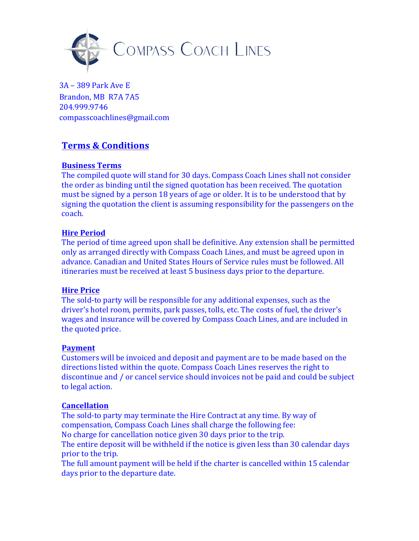

3A – 389 Park Ave E Brandon, MB R7A 7A5 204.999.9746 compasscoachlines@gmail.com

# **Terms & Conditions**

# **Business Terms**

The compiled quote will stand for 30 days. Compass Coach Lines shall not consider the order as binding until the signed quotation has been received. The quotation must be signed by a person 18 years of age or older. It is to be understood that by signing the quotation the client is assuming responsibility for the passengers on the coach.

# **Hire Period**

The period of time agreed upon shall be definitive. Any extension shall be permitted only as arranged directly with Compass Coach Lines, and must be agreed upon in advance. Canadian and United States Hours of Service rules must be followed. All itineraries must be received at least 5 business days prior to the departure.

## **Hire Price**

The sold-to party will be responsible for any additional expenses, such as the driver's hotel room, permits, park passes, tolls, etc. The costs of fuel, the driver's wages and insurance will be covered by Compass Coach Lines, and are included in the quoted price.

## **Payment**

Customers will be invoiced and deposit and payment are to be made based on the directions listed within the quote. Compass Coach Lines reserves the right to discontinue and / or cancel service should invoices not be paid and could be subject to legal action.

## **Cancellation**

The sold-to party may terminate the Hire Contract at any time. By way of compensation, Compass Coach Lines shall charge the following fee: No charge for cancellation notice given 30 days prior to the trip. The entire deposit will be withheld if the notice is given less than 30 calendar days prior to the trip.

The full amount payment will be held if the charter is cancelled within 15 calendar days prior to the departure date.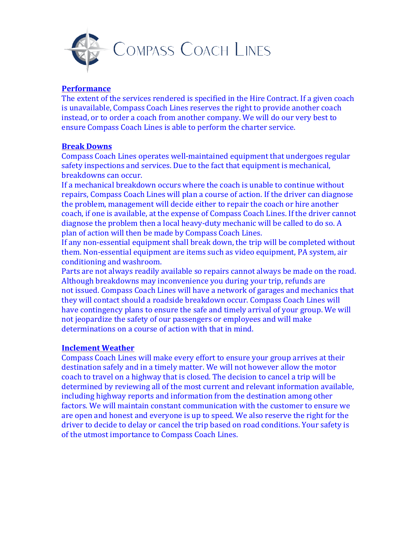

#### **Performance**

The extent of the services rendered is specified in the Hire Contract. If a given coach is unavailable, Compass Coach Lines reserves the right to provide another coach instead, or to order a coach from another company. We will do our very best to ensure Compass Coach Lines is able to perform the charter service.

#### **Break Downs**

Compass Coach Lines operates well-maintained equipment that undergoes regular safety inspections and services. Due to the fact that equipment is mechanical, breakdowns can occur.

If a mechanical breakdown occurs where the coach is unable to continue without repairs, Compass Coach Lines will plan a course of action. If the driver can diagnose the problem, management will decide either to repair the coach or hire another coach, if one is available, at the expense of Compass Coach Lines. If the driver cannot diagnose the problem then a local heavy-duty mechanic will be called to do so. A plan of action will then be made by Compass Coach Lines.

If any non-essential equipment shall break down, the trip will be completed without them. Non-essential equipment are items such as video equipment, PA system, air conditioning and washroom.

Parts are not always readily available so repairs cannot always be made on the road. Although breakdowns may inconvenience you during your trip, refunds are not issued. Compass Coach Lines will have a network of garages and mechanics that they will contact should a roadside breakdown occur. Compass Coach Lines will have contingency plans to ensure the safe and timely arrival of your group. We will not jeopardize the safety of our passengers or employees and will make determinations on a course of action with that in mind.

## **Inclement Weather**

Compass Coach Lines will make every effort to ensure your group arrives at their destination safely and in a timely matter. We will not however allow the motor coach to travel on a highway that is closed. The decision to cancel a trip will be determined by reviewing all of the most current and relevant information available, including highway reports and information from the destination among other factors. We will maintain constant communication with the customer to ensure we are open and honest and everyone is up to speed. We also reserve the right for the driver to decide to delay or cancel the trip based on road conditions. Your safety is of the utmost importance to Compass Coach Lines.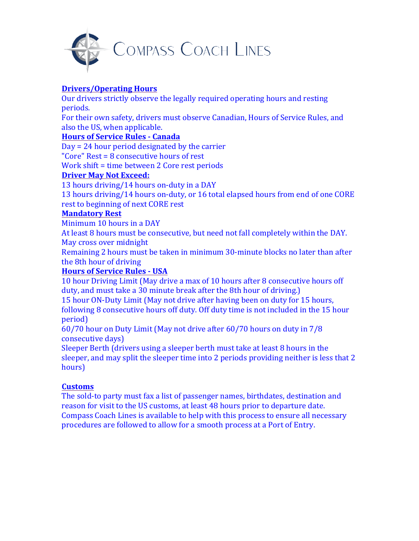

# **Drivers/Operating Hours**

Our drivers strictly observe the legally required operating hours and resting periods.

For their own safety, drivers must observe Canadian, Hours of Service Rules, and also the US, when applicable.

# **Hours of Service Rules - Canada**

 $Day = 24$  hour period designated by the carrier "Core"  $Rest = 8$  consecutive hours of rest

Work shift = time between 2 Core rest periods

## **Driver May Not Exceed:**

13 hours driving/14 hours on-duty in a DAY

13 hours driving/14 hours on-duty, or 16 total elapsed hours from end of one CORE rest to beginning of next CORE rest

## **Mandatory Rest**

Minimum 10 hours in a DAY

At least 8 hours must be consecutive, but need not fall completely within the DAY. May cross over midnight

Remaining 2 hours must be taken in minimum 30-minute blocks no later than after the 8th hour of driving

# **Hours of Service Rules - USA**

10 hour Driving Limit (May drive a max of 10 hours after 8 consecutive hours off duty, and must take a 30 minute break after the 8th hour of driving.)

15 hour ON-Duty Limit (May not drive after having been on duty for 15 hours, following 8 consecutive hours off duty. Off duty time is not included in the 15 hour period)

 $60/70$  hour on Duty Limit (May not drive after  $60/70$  hours on duty in  $7/8$ ) consecutive days)

Sleeper Berth (drivers using a sleeper berth must take at least 8 hours in the sleeper, and may split the sleeper time into 2 periods providing neither is less that 2 hours)

## **Customs**

The sold-to party must fax a list of passenger names, birthdates, destination and reason for visit to the US customs, at least 48 hours prior to departure date. Compass Coach Lines is available to help with this process to ensure all necessary procedures are followed to allow for a smooth process at a Port of Entry.